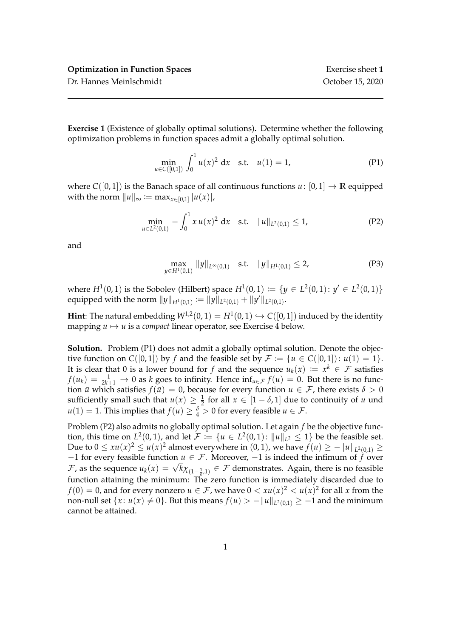**Exercise 1** (Existence of globally optimal solutions)**.** Determine whether the following optimization problems in function spaces admit a globally optimal solution.

$$
\min_{u \in C([0,1])} \int_0^1 u(x)^2 dx \quad \text{s.t.} \quad u(1) = 1,\tag{P1}
$$

where  $C([0, 1])$  is the Banach space of all continuous functions  $u: [0, 1] \rightarrow \mathbb{R}$  equipped with the norm  $\|u\|_{\infty} := \max_{x \in [0,1]} |u(x)|$ ,

$$
\min_{u \in L^2(0,1)} - \int_0^1 x u(x)^2 dx \quad \text{s.t.} \quad \|u\|_{L^2(0,1)} \le 1,\tag{P2}
$$

and

$$
\max_{y \in H^1(0,1)} \|y\|_{L^{\infty}(0,1)} \quad \text{s.t.} \quad \|y\|_{H^1(0,1)} \le 2,\tag{P3}
$$

where  $H^1(0,1)$  is the Sobolev (Hilbert) space  $H^1(0,1) := \{y \in L^2(0,1): y' \in L^2(0,1)\}\$ equipped with the norm  $||y||_{H^1(0,1)} := ||y||_{L^2(0,1)} + ||y'||_{L^2(0,1)}.$ 

**Hint**: The natural embedding  $W^{1,2}(0,1) = H^1(0,1) \hookrightarrow C([0,1])$  induced by the identity mapping  $u \mapsto u$  is a *compact* linear operator, see Exercise 4 below.

**Solution.** Problem (P1) does not admit a globally optimal solution. Denote the objective function on *C*([0,1]) by *f* and the feasible set by  $\mathcal{F} := \{u \in C([0, 1]) : u(1) = 1\}.$ It is clear that 0 is a lower bound for *f* and the sequence  $u_k(x) := x^k \in \mathcal{F}$  satisfies  $f(u_k) = \frac{1}{2k+1} \to 0$  as *k* goes to infinity. Hence  $\inf_{u \in \mathcal{F}} f(u) = 0$ . But there is no function *u* which satisfies  $f(\bar{u}) = 0$ , because for every function  $u \in \mathcal{F}$ , there exists  $\delta > 0$ sufficiently small such that  $u(x) \geq \frac{1}{2}$  for all  $x \in [1 - \delta, 1]$  due to continuity of *u* und  $u(1) = 1$ . This implies that  $f(u) \ge \frac{\delta}{4} > 0$  for every feasible  $u \in \mathcal{F}$ .

Problem (P2) also admits no globally optimal solution. Let again *f* be the objective function, this time on  $L^2(0,1)$ , and let  $\mathcal{F} := \{u \in L^2(0,1) : ||u||_{L^2} \leq 1\}$  be the feasible set. Due to  $0 ≤ xu(x)^2 ≤ u(x)^2$  almost everywhere in  $(0, 1)$ , we have  $f(u) ≥ -||u||_{L^2(0,1)} ≥$  $-1$  for every feasible function  $u \in \mathcal{F}$ . Moreover,  $-1$  is indeed the infimum of  $\hat{f}$  over  $F$ , as the sequence  $u_k(x) = \sqrt{k} \chi_{(1-\frac{1}{k},1)}$  ∈ *F* demonstrates. Again, there is no feasible function attaining the minimum: The zero function is immediately discarded due to  $f(0) = 0$ , and for every nonzero  $u \in \mathcal{F}$ , we have  $0 < xu(x)^2 < u(x)^2$  for all  $x$  from the non-null set  $\{x\colon u(x)\neq 0\}.$  But this means  $f(u)>-\|u\|_{L^2(0,1)}\geq -1$  and the minimum cannot be attained.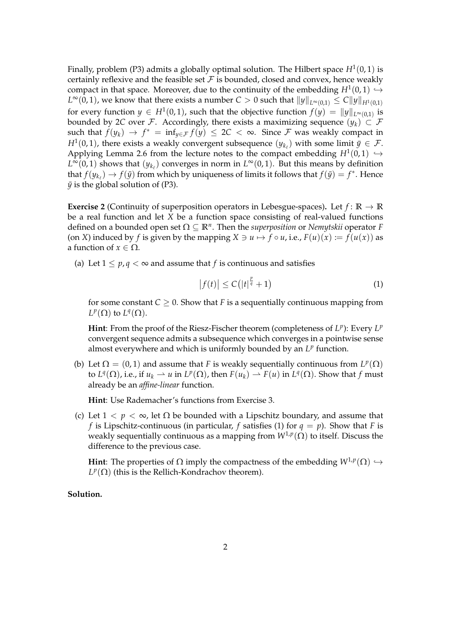Finally, problem (P3) admits a globally optimal solution. The Hilbert space  $H^1(0,1)$  is certainly reflexive and the feasible set  $\mathcal F$  is bounded, closed and convex, hence weakly compact in that space. Moreover, due to the continuity of the embedding  $H^1(0,1) \hookrightarrow$  $L^\infty(0,1)$ , we know that there exists a number  $C>0$  such that  $\|y\|_{L^\infty(0,1)}\leq C\|y\|_{H^1(0,1)}$ for every function  $y \in H^1(0,1)$ , such that the objective function  $f(y) = ||y||_{L^{\infty}(0,1)}$  is bounded by 2*C* over *F*. Accordingly, there exists a maximizing sequence  $(\psi_k) \subset F$ such that  $f(y_k) \to f^* = \inf_{y \in \mathcal{F}} f(y) \leq 2C < \infty$ . Since  $\mathcal{F}$  was weakly compact in *H*<sup>1</sup>(0,1), there exists a weakly convergent subsequence  $(y_{k_\ell})$  with some limit  $\bar{y} \in \mathcal{F}$ . Applying Lemma 2.6 from the lecture notes to the compact embedding  $H^1(0,1) \hookrightarrow$  $L^{\infty}(0,1)$  shows that  $(y_{k_{\ell}})$  converges in norm in  $L^{\infty}(0,1)$ . But this means by definition that  $f(y_{k_\ell}) \to f(\bar{y})$  from which by uniqueness of limits it follows that  $f(\bar{y}) = f^*$ . Hence  $\bar{y}$  is the global solution of (P3).

**Exercise 2** (Continuity of superposition operators in Lebesgue-spaces). Let  $f: \mathbb{R} \to \mathbb{R}$ be a real function and let *X* be a function space consisting of real-valued functions defined on a bounded open set Ω ⊆ **R***<sup>n</sup>* . Then the *superposition* or *Nemytskii* operator *F* (on *X*) induced by *f* is given by the mapping  $X \ni u \mapsto f \circ u$ , i.e.,  $F(u)(x) := f(u(x))$  as a function of  $x \in \Omega$ .

(a) Let  $1 \leq p, q \leq \infty$  and assume that *f* is continuous and satisfies

$$
\left|f(t)\right| \leq C\left(\left|t\right|^{\frac{p}{q}}+1\right) \tag{1}
$$

for some constant  $C > 0$ . Show that *F* is a sequentially continuous mapping from  $L^p(\Omega)$  to  $L^q(\Omega)$ .

Hint: From the proof of the Riesz-Fischer theorem (completeness of  $L^p$ ): Every  $L^p$ convergent sequence admits a subsequence which converges in a pointwise sense almost everywhere and which is uniformly bounded by an  $L^p$  function.

(b) Let  $\Omega = (0, 1)$  and assume that *F* is weakly sequentially continuous from  $L^p(\Omega)$ to  $L^q(\Omega)$ , i.e., if  $u_k \rightharpoonup u$  in  $L^p(\Omega)$ , then  $F(u_k) \rightharpoonup F(u)$  in  $L^q(\Omega)$ . Show that  $f$  must already be an *affine-linear* function.

**Hint**: Use Rademacher's functions from Exercise 3.

(c) Let  $1 < p < \infty$ , let  $\Omega$  be bounded with a Lipschitz boundary, and assume that *f* is Lipschitz-continuous (in particular, *f* satisfies (1) for  $q = p$ ). Show that *F* is weakly sequentially continuous as a mapping from *W*1,*<sup>p</sup>* (Ω) to itself. Discuss the difference to the previous case.

**Hint**: The properties of  $\Omega$  imply the compactness of the embedding  $W^{1,p}(\Omega) \hookrightarrow$  $L^p(\Omega)$  (this is the Rellich-Kondrachov theorem).

## **Solution.**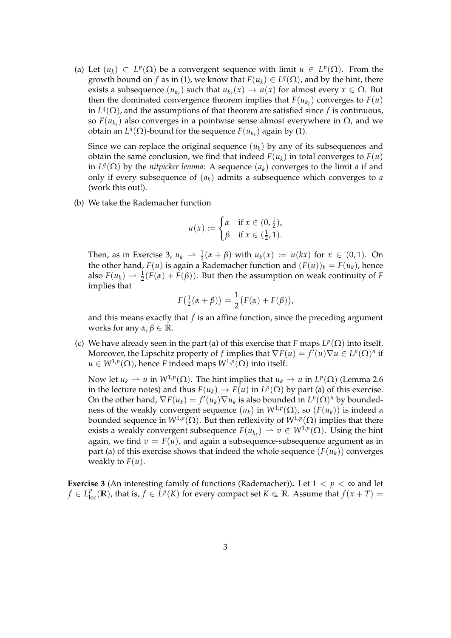(a) Let  $(u_k) \subset L^p(\Omega)$  be a convergent sequence with limit  $u \in L^p(\Omega)$ . From the growth bound on *f* as in (1), we know that  $F(u_k) \in L^q(\Omega)$ , and by the hint, there exists a subsequence  $(u_{k_\ell})$  such that  $u_{k_\ell}(x) \to u(x)$  for almost every  $x \in \Omega$ . But then the dominated convergence theorem implies that  $F(u_{k_\ell})$  converges to  $F(u)$ in  $L^q(\Omega)$ , and the assumptions of that theorem are satisfied since f is continuous, so  $F(u_{k_\ell})$  also converges in a pointwise sense almost everywhere in  $\Omega$ , and we obtain an  $L^q(\Omega)$ -bound for the sequence  $F(u_{k_\ell})$  again by (1).

Since we can replace the original sequence  $(u_k)$  by any of its subsequences and obtain the same conclusion, we find that indeed  $F(u_k)$  in total converges to  $F(u)$ in  $L^q(\Omega)$  by the *nitpicker lemma*: A sequence  $(a_k)$  converges to the limit *a* if and only if every subsequence of (*ak*) admits a subsequence which converges to *a* (work this out!).

(b) We take the Rademacher function

$$
u(x) := \begin{cases} \alpha & \text{if } x \in (0, \frac{1}{2}), \\ \beta & \text{if } x \in (\frac{1}{2}, 1). \end{cases}
$$

Then, as in Exercise 3,  $u_k \rightharpoonup \frac{1}{2}(\alpha + \beta)$  with  $u_k(x) := u(kx)$  for  $x \in (0,1)$ . On the other hand,  $F(u)$  is again a Rademacher function and  $(F(u))_k = F(u_k)$ , hence also  $F(u_k) \rightharpoonup \frac{1}{2}(F(\alpha) + F(\beta))$ . But then the assumption on weak continuity of *F* implies that

$$
F(\frac{1}{2}(\alpha+\beta))=\frac{1}{2}\big(F(\alpha)+F(\beta)\big),\,
$$

and this means exactly that *f* is an affine function, since the preceding argument works for any *α*, *β* ∈ **R**.

(c) We have already seen in the part (a) of this exercise that *F* maps  $L^p(\Omega)$  into itself. Moreover, the Lipschitz property of *f* implies that  $\nabla F(u) = f'(u)\nabla u \in L^p(\Omega)^n$  if  $u \in W^{1,p}(\Omega)$ , hence *F* indeed maps  $W^{1,p}(\Omega)$  into itself.

Now let  $u_k \rightharpoonup u$  in  $W^{1,p}(\Omega)$ . The hint implies that  $u_k \rightarrow u$  in  $L^p(\Omega)$  (Lemma 2.6 in the lecture notes) and thus  $F(u_k) \to F(u)$  in  $L^p(\Omega)$  by part (a) of this exercise. On the other hand,  $\nabla F(u_k) = f'(u_k) \nabla u_k$  is also bounded in  $L^p(\Omega)^n$  by boundedness of the weakly convergent sequence  $(u_k)$  in  $W^{1,p}(\Omega)$ , so  $(F(u_k))$  is indeed a bounded sequence in  $W^{1,p}(\Omega).$  But then reflexivity of  $W^{1,p}(\Omega)$  implies that there exists a weakly convergent subsequence  $F(u_{k_\ell}) \rightharpoonup v \in W^{1,p}(\Omega)$ . Using the hint again, we find  $v = F(u)$ , and again a subsequence-subsequence argument as in part (a) of this exercise shows that indeed the whole sequence  $(F(u_k))$  converges weakly to  $F(u)$ .

**Exercise 3** (An interesting family of functions (Rademacher)). Let  $1 < p < \infty$  and let  $f \in L_{loc}^p(\mathbb{R})$ , that is,  $f \in L^p(K)$  for every compact set  $K \Subset \mathbb{R}$ . Assume that  $f(x+T) =$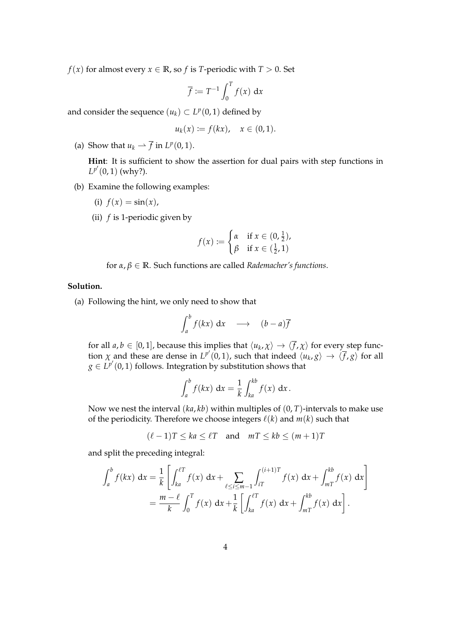*f*(*x*) for almost every *x*  $\in \mathbb{R}$ , so *f* is *T*-periodic with *T* > 0. Set

$$
\overline{f} := T^{-1} \int_0^T f(x) \, \mathrm{d}x
$$

and consider the sequence  $(u_k) \subset L^p(0,1)$  defined by

$$
u_k(x) := f(kx), \quad x \in (0,1).
$$

(a) Show that  $u_k \rightharpoonup \overline{f}$  in  $L^p(0,1)$ .

**Hint**: It is sufficient to show the assertion for dual pairs with step functions in  $L^{p'}(0, 1)$  (why?).

- (b) Examine the following examples:
	- (i)  $f(x) = \sin(x)$ ,
	- (ii) *f* is 1-periodic given by

$$
f(x) := \begin{cases} \alpha & \text{if } x \in (0, \frac{1}{2}), \\ \beta & \text{if } x \in (\frac{1}{2}, 1) \end{cases}
$$

for 
$$
\alpha, \beta \in \mathbb{R}
$$
. Such functions are called *Rademacher's functions*.

## **Solution.**

(a) Following the hint, we only need to show that

$$
\int_a^b f(kx) \, \mathrm{d}x \quad \longrightarrow \quad (b-a)\overline{f}
$$

for all  $a, b \in [0, 1]$ , because this implies that  $\langle u_k, \chi \rangle \to \langle f, \chi \rangle$  for every step function  $\chi$  and these are dense in  $L^{p'}(0,1)$ , such that indeed  $\langle u_k, g \rangle \to \langle \overline{f}, g \rangle$  for all  $g \in L^{p'}(0,1)$  follows. Integration by substitution shows that

$$
\int_a^b f(kx) \, \mathrm{d}x = \frac{1}{k} \int_{ka}^{kb} f(x) \, \mathrm{d}x.
$$

Now we nest the interval (*ka*, *kb*) within multiples of (0, *T*)-intervals to make use of the periodicity. Therefore we choose integers  $\ell(k)$  and  $m(k)$  such that

$$
(\ell - 1)T \le ka \le \ell T \quad \text{and} \quad mT \le kb \le (m + 1)T
$$

and split the preceding integral:

$$
\int_{a}^{b} f(kx) dx = \frac{1}{k} \left[ \int_{ka}^{\ell T} f(x) dx + \sum_{\ell \le i \le m-1} \int_{iT}^{(i+1)T} f(x) dx + \int_{mT}^{kb} f(x) dx \right]
$$
  
=  $\frac{m-\ell}{k} \int_{0}^{T} f(x) dx + \frac{1}{k} \left[ \int_{ka}^{\ell T} f(x) dx + \int_{mT}^{kb} f(x) dx \right].$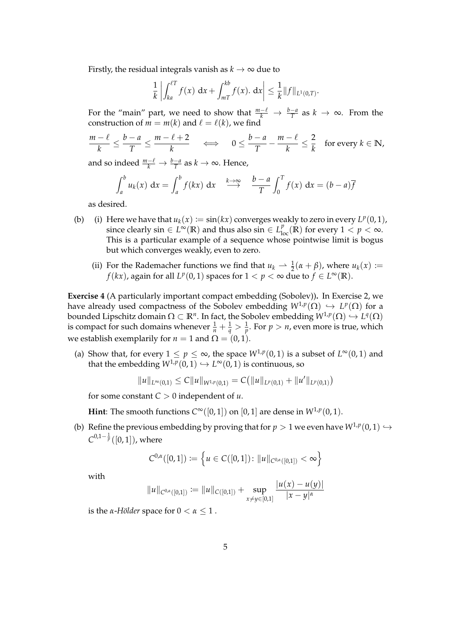Firstly, the residual integrals vanish as  $k \to \infty$  due to

$$
\frac{1}{k}\left|\int_{ka}^{\ell T} f(x) \, dx + \int_{mT}^{kb} f(x) \, dx\right| \leq \frac{1}{k} \|f\|_{L^1(0,T)}.
$$

For the "main" part, we need to show that  $\frac{m-\ell}{k} \to \frac{b-a}{T}$  as  $k \to \infty$ . From the construction of  $m = m(k)$  and  $\ell = \ell(k)$ , we find

$$
\frac{m-\ell}{k} \le \frac{b-a}{T} \le \frac{m-\ell+2}{k} \quad \iff \quad 0 \le \frac{b-a}{T} - \frac{m-\ell}{k} \le \frac{2}{k} \quad \text{for every } k \in \mathbb{N},
$$

and so indeed  $\frac{m-\ell}{k} \to \frac{b-a}{T}$  as  $k \to \infty$ . Hence,

$$
\int_a^b u_k(x) \, dx = \int_a^b f(kx) \, dx \quad \stackrel{k \to \infty}{\longrightarrow} \quad \frac{b-a}{T} \int_0^T f(x) \, dx = (b-a)\overline{f}
$$

as desired.

- (b) (i) Here we have that  $u_k(x) := \sin(kx)$  converges weakly to zero in every  $L^p(0,1)$ , since clearly sin  $\in L^{\infty}(\mathbb{R})$  and thus also sin  $\in L^{p}_{loc}(\mathbb{R})$  for every  $1 < p < \infty$ . This is a particular example of a sequence whose pointwise limit is bogus but which converges weakly, even to zero.
	- (ii) For the Rademacher functions we find that  $u_k \rightharpoonup \frac{1}{2}(\alpha + \beta)$ , where  $u_k(x) :=$ *f*(*kx*), again for all *L<sup>p</sup>*(0, 1) spaces for  $1 < p < \infty$  due to  $f \in L^{\infty}(\mathbb{R})$ .

**Exercise 4** (A particularly important compact embedding (Sobolev))**.** In Exercise 2, we have already used compactness of the Sobolev embedding  $W^{1,p}(\Omega) \hookrightarrow L^p(\Omega)$  for a bounded Lipschitz domain  $\Omega\subset\mathbb{R}^n.$  In fact, the Sobolev embedding  $W^{1,p}(\Omega)\hookrightarrow L^q(\Omega)$ is compact for such domains whenever  $\frac{1}{n} + \frac{1}{q} > \frac{1}{p}$ . For  $p > n$ , even more is true, which we establish exemplarily for  $n = 1$  and  $\Omega = (0, 1)$ .

(a) Show that, for every  $1 \le p \le \infty$ , the space  $W^{1,p}(0,1)$  is a subset of  $L^{\infty}(0,1)$  and that the embedding  $W^{1,p}(0,1) \hookrightarrow L^{\infty}(0,1)$  is continuous, so

$$
||u||_{L^{\infty}(0,1)} \leq C||u||_{W^{1,p}(0,1)} = C(||u||_{L^p(0,1)} + ||u'||_{L^p(0,1)})
$$

for some constant *C* > 0 independent of *u*.

**Hint**: The smooth functions  $C^{\infty}([0,1])$  on  $[0,1]$  are dense in  $W^{1,p}(0,1)$ .

(b) Refine the previous embedding by proving that for  $p > 1$  we even have  $W^{1,p}(0,1) \hookrightarrow$  $C^{0,1-\frac{1}{p}}([0,1])$ , where

$$
C^{0,\alpha}([0,1]) := \left\{ u \in C([0,1]) \colon ||u||_{C^{0,\alpha}([0,1])} < \infty \right\}
$$

with

$$
||u||_{C^{0,\alpha}([0,1])} := ||u||_{C([0,1])} + \sup_{x \neq y \in [0,1]} \frac{|u(x) - u(y)|}{|x - y|^{\alpha}}
$$

is the *α*-*Hölder* space for  $0 < \alpha \leq 1$ .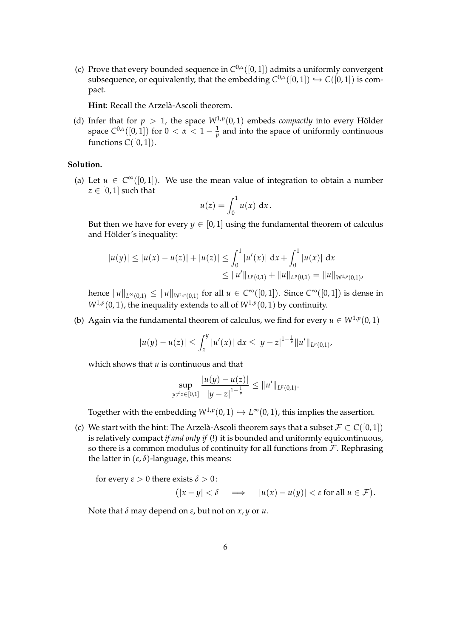(c) Prove that every bounded sequence in  $C^{0,\alpha}([0,1])$  admits a uniformly convergent subsequence, or equivalently, that the embedding  $C^{0,\alpha}([0,1]) \hookrightarrow C([0,1])$  is compact.

**Hint**: Recall the Arzelà-Ascoli theorem.

(d) Infer that for  $p > 1$ , the space  $W^{1,p}(0,1)$  embeds *compactly* into every Hölder space  $C^{0,\alpha}([0,1])$  for  $0 < \alpha < 1-\frac{1}{p}$  and into the space of uniformly continuous functions  $C([0, 1]).$ 

## **Solution.**

(a) Let  $u \in C^{\infty}([0,1])$ . We use the mean value of integration to obtain a number  $z \in [0,1]$  such that

$$
u(z) = \int_0^1 u(x) \, \mathrm{d}x.
$$

But then we have for every  $y \in [0, 1]$  using the fundamental theorem of calculus and Hölder's inequality:

$$
|u(y)| \le |u(x) - u(z)| + |u(z)| \le \int_0^1 |u'(x)| dx + \int_0^1 |u(x)| dx
$$
  
\n
$$
\le ||u'||_{L^p(0,1)} + ||u||_{L^p(0,1)} = ||u||_{W^{1,p}(0,1)}
$$

 $\text{hence } \|u\|_{L^{\infty}(0,1)} \leq \|u\|_{W^{1,p}(0,1)} \text{ for all } u \in C^{\infty}([0,1])$ . Since  $C^{\infty}([0,1])$  is dense in  $W^{1,p}(0,1)$ , the inequality extends to all of  $W^{1,p}(0,1)$  by continuity.

(b) Again via the fundamental theorem of calculus, we find for every  $u \in W^{1,p}(0,1)$ 

$$
|u(y)-u(z)| \leq \int_{z}^{y} |u'(x)| dx \leq |y-z|^{1-\frac{1}{p}} ||u'||_{L^{p}(0,1)},
$$

which shows that *u* is continuous and that

$$
\sup_{y\neq z\in[0,1]}\frac{|u(y)-u(z)|}{|y-z|^{1-\frac{1}{p}}}\leq \|u'\|_{L^p(0,1)}.
$$

Together with the embedding  $W^{1,p}(0,1) \hookrightarrow L^\infty(0,1)$ , this implies the assertion.

(c) We start with the hint: The Arzelà-Ascoli theorem says that a subset  $\mathcal{F} \subset C([0,1])$ is relatively compact *if and only if* (!) it is bounded and uniformly equicontinuous, so there is a common modulus of continuity for all functions from  $\mathcal F$ . Rephrasing the latter in (*ε*, *δ*)-language, this means:

for every  $\varepsilon > 0$  there exists  $\delta > 0$ :  $(|x - y| < \delta \implies |u(x) - u(y)| < \varepsilon$  for all  $u \in \mathcal{F}$ ).

Note that *δ* may depend on *ε*, but not on *x*, *y* or *u*.